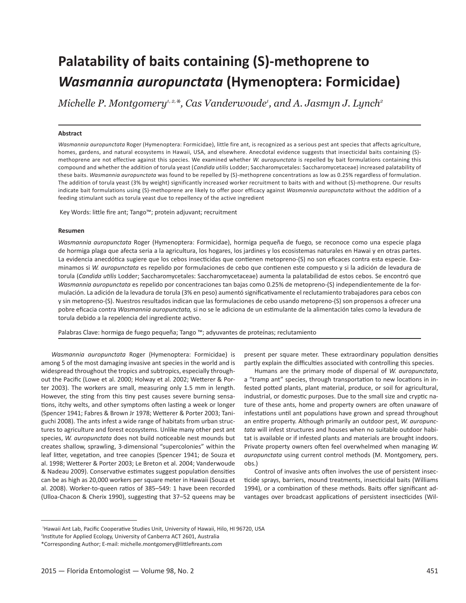# **Palatability of baits containing (S)-methoprene to**  *Wasmannia auropunctata* **(Hymenoptera: Formicidae)**

*Michelle P. Montgomery1, 2,\*, Cas Vanderwoude1 , and A. Jasmyn J. Lynch2*

# **Abstract**

*Wasmannia auropunctata* Roger (Hymenoptera: Formicidae), little fire ant, is recognized as a serious pest ant species that affects agriculture, homes, gardens, and natural ecosystems in Hawaii, USA, and elsewhere. Anecdotal evidence suggests that insecticidal baits containing (S) methoprene are not effective against this species. We examined whether *W. auropunctata* is repelled by bait formulations containing this compound and whether the addition of torula yeast (*Candida utilis* Lodder; Saccharomycetales: Saccharomycetaceae) increased palatability of these baits. *Wasmannia auropunctata* was found to be repelled by (S)-methoprene concentrations as low as 0.25% regardless of formulation. The addition of torula yeast (3% by weight) significantly increased worker recruitment to baits with and without (S)-methoprene. Our results indicate bait formulations using (S)-methoprene are likely to offer poor efficacy against *Wasmannia auropunctata* without the addition of a feeding stimulant such as torula yeast due to repellency of the active ingredient

Key Words: little fire ant; Tango™; protein adjuvant; recruitment

#### **Resumen**

*Wasmannia auropunctata* Roger (Hymenoptera: Formicidae), hormiga pequeña de fuego, se reconoce como una especie plaga de hormiga plaga que afecta seria a la agricultura, los hogares, los jardines y los ecosistemas naturales en Hawai y en otras partes. La evidencia anecdótica sugiere que los cebos insecticidas que contienen metopreno-(S) no son eficaces contra esta especie. Examinamos si *W. auropunctata* es repelido por formulaciones de cebo que contienen este compuesto y si la adición de levadura de torula (*Candida utilis* Lodder; Saccharomycetales: Saccharomycetaceae) aumenta la palatabilidad de estos cebos. Se encontró que *Wasmannia auropunctata* es repelido por concentraciones tan bajas como 0.25% de metopreno-(S) independientemente de la formulación. La adición de la levadura de torula (3% en peso) aumentó significativamente el reclutamiento trabajadores para cebos con y sin metopreno-(S). Nuestros resultados indican que las formulaciones de cebo usando metopreno-(S) son propensos a ofrecer una pobre eficacia contra *Wasmannia auropunctata,* si no se le adiciona de un estimulante de la alimentación tales como la levadura de torula debido a la repelencia del ingrediente activo.

Palabras Clave: hormiga de fuego pequeña; Tango ™; adyuvantes de proteínas; reclutamiento

*Wasmannia auropunctata* Roger (Hymenoptera: Formicidae) is among 5 of the most damaging invasive ant species in the world and is widespread throughout the tropics and subtropics, especially throughout the Pacific (Lowe et al. 2000; Holway et al. 2002; Wetterer & Porter 2003). The workers are small, measuring only 1.5 mm in length. However, the sting from this tiny pest causes severe burning sensations, itchy welts, and other symptoms often lasting a week or longer (Spencer 1941; Fabres & Brown Jr 1978; Wetterer & Porter 2003; Taniguchi 2008). The ants infest a wide range of habitats from urban structures to agriculture and forest ecosystems. Unlike many other pest ant species, *W. auropunctata* does not build noticeable nest mounds but creates shallow, sprawling, 3-dimensional "supercolonies" within the leaf litter, vegetation, and tree canopies (Spencer 1941; de Souza et al. 1998; Wetterer & Porter 2003; Le Breton et al. 2004; Vanderwoude & Nadeau 2009). Conservative estimates suggest population densities can be as high as 20,000 workers per square meter in Hawaii (Souza et al. 2008). Worker-to-queen ratios of 385–549: 1 have been recorded (Ulloa-Chacon & Cherix 1990), suggesting that 37–52 queens may be

present per square meter. These extraordinary population densities partly explain the difficulties associated with controlling this species.

Humans are the primary mode of dispersal of *W. auropunctata*, a "tramp ant" species, through transportation to new locations in infested potted plants, plant material, produce, or soil for agricultural, industrial, or domestic purposes. Due to the small size and cryptic nature of these ants, home and property owners are often unaware of infestations until ant populations have grown and spread throughout an entire property. Although primarily an outdoor pest, *W. auropunctata* will infest structures and houses when no suitable outdoor habitat is available or if infested plants and materials are brought indoors. Private property owners often feel overwhelmed when managing *W. auropunctata* using current control methods (M. Montgomery, pers. obs.)

Control of invasive ants often involves the use of persistent insecticide sprays, barriers, mound treatments, insecticidal baits (Williams 1994), or a combination of these methods. Baits offer significant advantages over broadcast applications of persistent insecticides (Wil-

<sup>&</sup>lt;sup>1</sup>Hawaii Ant Lab, Pacific Cooperative Studies Unit, University of Hawaii, Hilo, HI 96720, USA

<sup>&</sup>lt;sup>2</sup>Institute for Applied Ecology, University of Canberra ACT 2601, Australia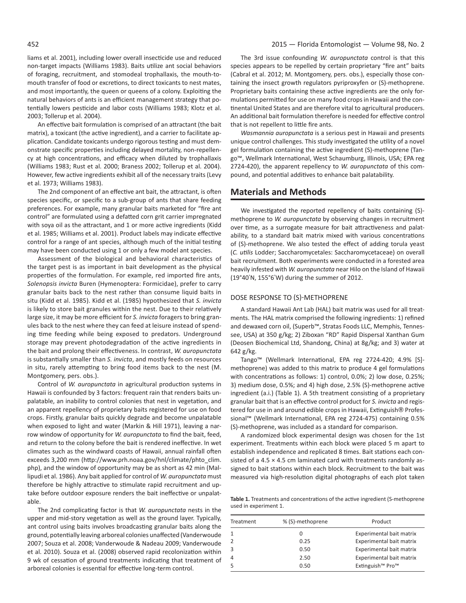liams et al. 2001), including lower overall insecticide use and reduced non-target impacts (Williams 1983). Baits utilize ant social behaviors of foraging, recruitment, and stomodeal trophallaxis, the mouth-tomouth transfer of food or excretions, to direct toxicants to nest mates, and most importantly, the queen or queens of a colony. Exploiting the natural behaviors of ants is an efficient management strategy that potentially lowers pesticide and labor costs (Williams 1983; Klotz et al. 2003; Tollerup et al. 2004).

An effective bait formulation is comprised of an attractant (the bait matrix), a toxicant (the active ingredient), and a carrier to facilitate application. Candidate toxicants undergo rigorous testing and must demonstrate specific properties including delayed mortality, non-repellency at high concentrations, and efficacy when diluted by trophallaxis (Williams 1983; Rust et al. 2000; Braness 2002; Tollerup et al. 2004). However, few active ingredients exhibit all of the necessary traits (Levy et al. 1973; Williams 1983).

The 2nd component of an effective ant bait, the attractant, is often species specific, or specific to a sub-group of ants that share feeding preferences. For example, many granular baits marketed for "fire ant control" are formulated using a defatted corn grit carrier impregnated with soya oil as the attractant, and 1 or more active ingredients (Kidd et al. 1985; Williams et al. 2001). Product labels may indicate effective control for a range of ant species, although much of the initial testing may have been conducted using 1 or only a few model ant species.

Assessment of the biological and behavioral characteristics of the target pest is as important in bait development as the physical properties of the formulation. For example, red imported fire ants, *Solenopsis invicta* Buren (Hymenoptera: Formicidae), prefer to carry granular baits back to the nest rather than consume liquid baits in situ (Kidd et al. 1985). Kidd et al. (1985) hypothesized that *S. invicta*  is likely to store bait granules within the nest. Due to their relatively large size, it may be more efficient for *S. invicta* foragers to bring granules back to the nest where they can feed at leisure instead of spending time feeding while being exposed to predators. Underground storage may prevent photodegradation of the active ingredients in the bait and prolong their effectiveness. In contrast, *W. auropunctata* is substantially smaller than *S. invicta*, and mostly feeds on resources in situ, rarely attempting to bring food items back to the nest (M. Montgomery, pers. obs.).

Control of *W. auropunctata* in agricultural production systems in Hawaii is confounded by 3 factors: frequent rain that renders baits unpalatable, an inability to control colonies that nest in vegetation, and an apparent repellency of proprietary baits registered for use on food crops. Firstly, granular baits quickly degrade and become unpalatable when exposed to light and water (Markin & Hill 1971), leaving a narrow window of opportunity for *W. auropunctata* to find the bait, feed, and return to the colony before the bait is rendered ineffective. In wet climates such as the windward coasts of Hawaii, annual rainfall often exceeds 3,200 mm (http://www.prh.noaa.gov/hnl/climate/phto\_clim. php), and the window of opportunity may be as short as 42 min (Mallipudi et al. 1986). Any bait applied for control of *W. auropunctata* must therefore be highly attractive to stimulate rapid recruitment and uptake before outdoor exposure renders the bait ineffective or unpalatable.

The 2nd complicating factor is that *W. auropunctata* nests in the upper and mid-story vegetation as well as the ground layer. Typically, ant control using baits involves broadcasting granular baits along the ground, potentially leaving arboreal colonies unaffected (Vanderwoude 2007; Souza et al. 2008; Vanderwoude & Nadeau 2009; Vanderwoude et al. 2010). Souza et al. (2008) observed rapid recolonization within 9 wk of cessation of ground treatments indicating that treatment of arboreal colonies is essential for effective long-term control.

The 3rd issue confounding *W. auropunctata* control is that this species appears to be repelled by certain proprietary "fire ant" baits (Cabral et al. 2012; M. Montgomery, pers. obs.), especially those containing the insect growth regulators pyriproxyfen or (S)-methoprene. Proprietary baits containing these active ingredients are the only formulations permitted for use on many food crops in Hawaii and the continental United States and are therefore vital to agricultural producers. An additional bait formulation therefore is needed for effective control that is not repellent to little fire ants.

*Wasmannia auropunctata* is a serious pest in Hawaii and presents unique control challenges. This study investigated the utility of a novel gel formulation containing the active ingredient (S)-methoprene (Tango™, Wellmark International, West Schaumburg, Illinois, USA; EPA reg 2724-420), the apparent repellency to *W. auropunctata* of this compound, and potential additives to enhance bait palatability.

# **Materials and Methods**

We investigated the reported repellency of baits containing (S) methoprene to *W. auropunctata* by observing changes in recruitment over time, as a surrogate measure for bait attractiveness and palatability, to a standard bait matrix mixed with various concentrations of (S)-methoprene. We also tested the effect of adding torula yeast (*C. utilis* Lodder; Saccharomycetales: Saccharomycetaceae) on overall bait recruitment. Both experiments were conducted in a forested area heavily infested with *W. auropunctata* near Hilo on the Island of Hawaii (19°40'N, 155°6'W) during the summer of 2012.

## DOSE RESPONSE TO (S)-METHOPRENE

A standard Hawaii Ant Lab (HAL) bait matrix was used for all treatments. The HAL matrix comprised the following ingredients: 1) refined and dewaxed corn oil, (Superb™, Stratas Foods LLC, Memphis, Tennessee, USA) at 350 g/kg; 2) Ziboxan "RD" Rapid Dispersal Xanthan Gum (Deosen Biochemical Ltd, Shandong, China) at 8g/kg; and 3) water at 642 g/kg.

Tango™ (Wellmark International, EPA reg 2724-420; 4.9% [S] methoprene) was added to this matrix to produce 4 gel formulations with concentrations as follows: 1) control, 0.0%; 2) low dose, 0.25%; 3) medium dose, 0.5%; and 4) high dose, 2.5% (S)-methoprene active ingredient (a.i.) (Table 1). A 5th treatment consisting of a proprietary granular bait that is an effective control product for *S. invicta* and registered for use in and around edible crops in Hawaii, Extinguish® Professional™ (Wellmark International, EPA reg 2724-475) containing 0.5% (S)-methoprene, was included as a standard for comparison.

A randomized block experimental design was chosen for the 1st experiment. Treatments within each block were placed 5 m apart to establish independence and replicated 8 times. Bait stations each consisted of a 4.5  $\times$  4.5 cm laminated card with treatments randomly assigned to bait stations within each block. Recruitment to the bait was measured via high-resolution digital photographs of each plot taken

**Table 1.** Treatments and concentrations of the active ingredient (S-methoprene used in experiment 1.

| Treatment | % (S)-methoprene | Product                                  |
|-----------|------------------|------------------------------------------|
|           |                  | Experimental bait matrix                 |
|           | 0.25             | Experimental bait matrix                 |
|           | 0.50             | Experimental bait matrix                 |
|           | 2.50             | Experimental bait matrix                 |
|           | 0.50             | Extinguish <sup>™</sup> Pro <sup>™</sup> |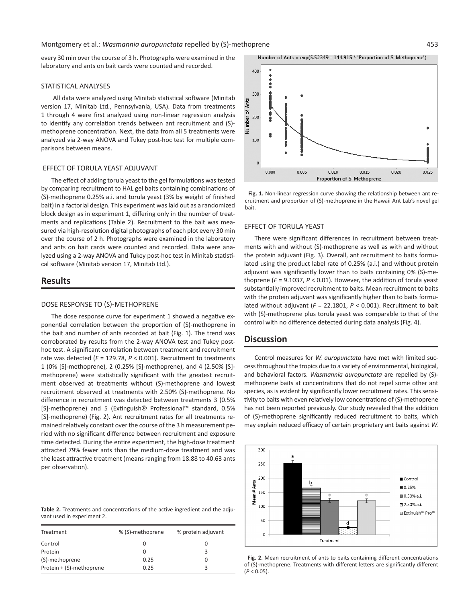every 30 min over the course of 3 h. Photographs were examined in the laboratory and ants on bait cards were counted and recorded.

#### STATISTICAL ANALYSES

 All data were analyzed using Minitab statistical software (Minitab version 17, Minitab Ltd., Pennsylvania, USA). Data from treatments 1 through 4 were first analyzed using non-linear regression analysis to identify any correlation trends between ant recruitment and (S) methoprene concentration. Next, the data from all 5 treatments were analyzed via 2-way ANOVA and Tukey post-hoc test for multiple comparisons between means.

## EFFECT OF TORULA YEAST ADJUVANT

The effect of adding torula yeast to the gel formulations was tested by comparing recruitment to HAL gel baits containing combinations of (S)-methoprene 0.25% a.i. and torula yeast (3% by weight of finished bait) in a factorial design. This experiment was laid out as a randomized block design as in experiment 1, differing only in the number of treatments and replications (Table 2). Recruitment to the bait was measured via high-resolution digital photographs of each plot every 30 min over the course of 2 h. Photographs were examined in the laboratory and ants on bait cards were counted and recorded. Data were analyzed using a 2-way ANOVA and Tukey post-hoc test in Minitab statistical software (Minitab version 17, Minitab Ltd.).

# **Results**

#### DOSE RESPONSE TO (S)-METHOPRENE

The dose response curve for experiment 1 showed a negative exponential correlation between the proportion of (S)-methoprene in the bait and number of ants recorded at bait (Fig. 1). The trend was corroborated by results from the 2-way ANOVA test and Tukey posthoc test. A significant correlation between treatment and recruitment rate was detected (*F* = 129.78, *P* < 0.001). Recruitment to treatments 1 (0% [S]-methoprene), 2 (0.25% [S]-methoprene), and 4 (2.50% [S] methoprene) were statistically significant with the greatest recruitment observed at treatments without (S)-methoprene and lowest recruitment observed at treatments with 2.50% (S)-methoprene. No difference in recruitment was detected between treatments 3 (0.5% [S]-methoprene) and 5 (Extinguish® Professional™ standard, 0.5% [S]-methoprene) (Fig. 2). Ant recruitment rates for all treatments remained relatively constant over the course of the 3 h measurement period with no significant difference between recruitment and exposure time detected. During the entire experiment, the high-dose treatment attracted 79% fewer ants than the medium-dose treatment and was the least attractive treatment (means ranging from 18.88 to 40.63 ants per observation).

**Table 2.** Treatments and concentrations of the active ingredient and the adjuvant used in experiment 2.

| Treatment                | % (S)-methoprene | % protein adjuvant |
|--------------------------|------------------|--------------------|
| Control                  | 0                |                    |
| Protein                  | O                |                    |
| (S)-methoprene           | 0.25             | $\mathbf{I}$       |
| Protein + (S)-methoprene | 0.25             |                    |

Number of Ants = exp(5.52349 - 144.915 \* 'Proportion of S-Methoprene')



**Fig. 1.** Non-linear regression curve showing the relationship between ant recruitment and proportion of (S)-methoprene in the Hawaii Ant Lab's novel gel bait.

## EFFECT OF TORULA YEAST

There were significant differences in recruitment between treatments with and without (S)-methoprene as well as with and without the protein adjuvant (Fig. 3). Overall, ant recruitment to baits formulated using the product label rate of 0.25% (a.i.) and without protein adjuvant was significantly lower than to baits containing 0% (S)-methoprene (*F* = 9.1037, *P* < 0.01). However, the addition of torula yeast substantially improved recruitment to baits. Mean recruitment to baits with the protein adjuvant was significantly higher than to baits formulated without adjuvant (*F* = 22.1801, *P* < 0.001). Recruitment to bait with (S)-methoprene plus torula yeast was comparable to that of the control with no difference detected during data analysis (Fig. 4).

# **Discussion**

Control measures for *W. auropunctata* have met with limited success throughout the tropics due to a variety of environmental, biological, and behavioral factors. *Wasmannia auropunctata* are repelled by (S) methoprene baits at concentrations that do not repel some other ant species, as is evident by significantly lower recruitment rates. This sensitivity to baits with even relatively low concentrations of (S)-methoprene has not been reported previously. Our study revealed that the addition of (S)-methoprene significantly reduced recruitment to baits, which may explain reduced efficacy of certain proprietary ant baits against *W.* 



**Fig. 2.** Mean recruitment of ants to baits containing different concentrations of (S)-methoprene. Treatments with different letters are significantly different  $(P < 0.05)$ .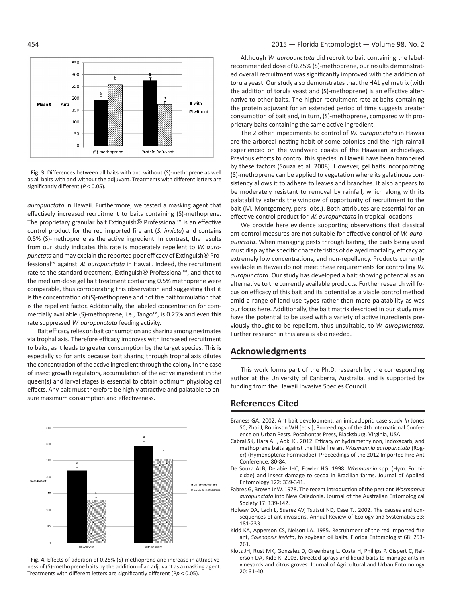

**Fig. 3.** Differences between all baits with and without (S)-methoprene as well as all baits with and without the adjuvant. Treatments with different letters are significantly different (*P* < 0.05).

*auropunctata* in Hawaii. Furthermore, we tested a masking agent that effectively increased recruitment to baits containing (S)-methoprene. The proprietary granular bait Extinguish® Professional™ is an effective control product for the red imported fire ant (*S. invicta*) and contains 0.5% (S)-methoprene as the active ingredient. In contrast, the results from our study indicates this rate is moderately repellent to *W. auropunctata* and may explain the reported poor efficacy of Extinguish® Professional™ against *W. auropunctata* in Hawaii. Indeed, the recruitment rate to the standard treatment, Extinguish® Professional™, and that to the medium-dose gel bait treatment containing 0.5% methoprene were comparable, thus corroborating this observation and suggesting that it is the concentration of (S)-methoprene and not the bait formulation that is the repellent factor. Additionally, the labeled concentration for commercially available (S)-methoprene, i.e., Tango™, is 0.25% and even this rate suppressed *W. auropunctata* feeding activity.

Bait efficacy relies on bait consumption and sharing among nestmates via trophallaxis. Therefore efficacy improves with increased recruitment to baits, as it leads to greater consumption by the target species. This is especially so for ants because bait sharing through trophallaxis dilutes the concentration of the active ingredient through the colony. In the case of insect growth regulators, accumulation of the active ingredient in the queen(s) and larval stages is essential to obtain optimum physiological effects. Any bait must therefore be highly attractive and palatable to ensure maximum consumption and effectiveness.



**Fig. 4.** Effects of addition of 0.25% (S)-methoprene and increase in attractiveness of (S)-methoprene baits by the addition of an adjuvant as a masking agent. Treatments with different letters are significantly different (P*p* < 0.05).

### 454 2015 — Florida Entomologist — Volume 98, No. 2

Although *W. auropunctata* did recruit to bait containing the labelrecommended dose of 0.25% (S)-methoprene, our results demonstrated overall recruitment was significantly improved with the addition of torula yeast. Our study also demonstrates that the HAL gel matrix (with the addition of torula yeast and (S)-methoprene) is an effective alternative to other baits. The higher recruitment rate at baits containing the protein adjuvant for an extended period of time suggests greater consumption of bait and, in turn, (S)-methoprene, compared with proprietary baits containing the same active ingredient.

The 2 other impediments to control of *W. auropunctata* in Hawaii are the arboreal nesting habit of some colonies and the high rainfall experienced on the windward coasts of the Hawaiian archipelago. Previous efforts to control this species in Hawaii have been hampered by these factors (Souza et al. 2008). However, gel baits incorporating (S)-methoprene can be applied to vegetation where its gelatinous consistency allows it to adhere to leaves and branches. It also appears to be moderately resistant to removal by rainfall, which along with its palatability extends the window of opportunity of recruitment to the bait (M. Montgomery, pers. obs.). Both attributes are essential for an effective control product for *W. auropunctata* in tropical locations.

We provide here evidence supporting observations that classical ant control measures are not suitable for effective control of *W. auropunctata*. When managing pests through baiting, the baits being used must display the specific characteristics of delayed mortality, efficacy at extremely low concentrations, and non-repellency. Products currently available in Hawaii do not meet these requirements for controlling *W. auropunctata*. Our study has developed a bait showing potential as an alternative to the currently available products. Further research will focus on efficacy of this bait and its potential as a viable control method amid a range of land use types rather than mere palatability as was our focus here. Additionally, the bait matrix described in our study may have the potential to be used with a variety of active ingredients previously thought to be repellent, thus unsuitable, to *W. auropunctata*. Further research in this area is also needed.

# **Acknowledgments**

This work forms part of the Ph.D. research by the corresponding author at the University of Canberra, Australia, and is supported by funding from the Hawaii Invasive Species Council.

# **References Cited**

- Braness GA. 2002. Ant bait development: an imidacloprid case study *In* Jones SC, Zhai J, Robinson WH [eds.], Proceedings of the 4th International Conference on Urban Pests. Pocahontas Press, Blacksburg, Virginia, USA.
- Cabral SK, Hara AH, Aoki KI. 2012. Efficacy of hydramethylnon, indoxacarb, and methoprene baits against the little fire ant *Wasmannia auropunctata* (Roger) (Hymenoptera: Formicidae). Proceedings of the 2012 Imported Fire Ant Conference: 80-84.
- De Souza ALB, Delabie JHC, Fowler HG. 1998. *Wasmannia* spp. (Hym. Formicidae) and insect damage to cocoa in Brazilian farms. Journal of Applied Entomology 122: 339-341.
- Fabres G, Brown Jr W. 1978. The recent introduction of the pest ant *Wasmannia auropunctata* into New Caledonia. Journal of the Australian Entomological Society 17: 139-142.
- Holway DA, Lach L, Suarez AV, Tsutsui ND, Case TJ. 2002. The causes and consequences of ant invasions. Annual Review of Ecology and Systematics 33: 181-233.
- Kidd KA, Apperson CS, Nelson LA. 1985. Recruitment of the red imported fire ant, *Solenopsis invicta*, to soybean oil baits. Florida Entomologist 68: 253- 261.
- Klotz JH, Rust MK, Gonzalez D, Greenberg L, Costa H, Phillips P, Gispert C, Reierson DA, Kido K. 2003. Directed sprays and liquid baits to manage ants in vineyards and citrus groves. Journal of Agricultural and Urban Entomology 20: 31-40.